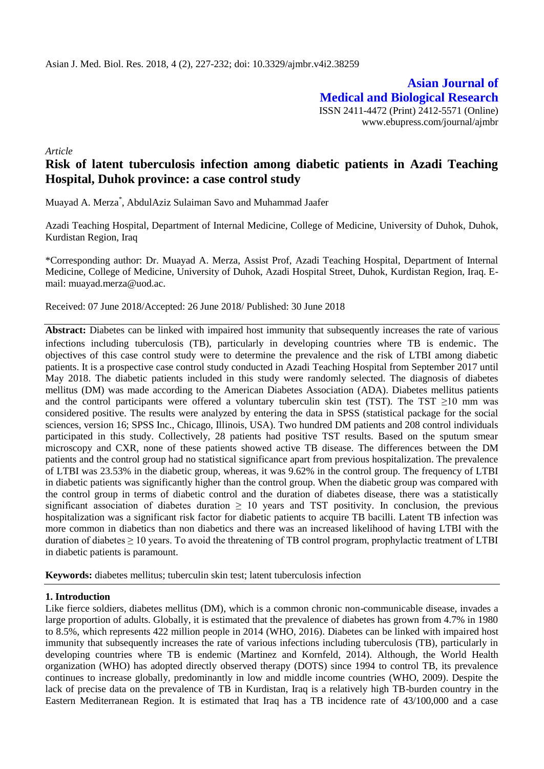**Asian Journal of Medical and Biological Research** ISSN 2411-4472 (Print) 2412-5571 (Online) www.ebupress.com/journal/ajmbr

*Article*

# **Risk of latent tuberculosis infection among diabetic patients in Azadi Teaching Hospital, Duhok province: a case control study**

Muayad A. Merza\* , AbdulAziz Sulaiman Savo and Muhammad Jaafer

Azadi Teaching Hospital, Department of Internal Medicine, College of Medicine, University of Duhok, Duhok, Kurdistan Region, Iraq

\*Corresponding author: Dr. Muayad A. Merza, Assist Prof, Azadi Teaching Hospital, Department of Internal Medicine, College of Medicine, University of Duhok, Azadi Hospital Street, Duhok, Kurdistan Region, Iraq. Email: muayad.merza@uod.ac.

Received: 07 June 2018/Accepted: 26 June 2018/ Published: 30 June 2018

**Abstract:** Diabetes can be linked with impaired host immunity that subsequently increases the rate of various infections including tuberculosis (TB), particularly in developing countries where TB is endemic. The objectives of this case control study were to determine the prevalence and the risk of LTBI among diabetic patients. It is a prospective case control study conducted in Azadi Teaching Hospital from September 2017 until May 2018. The diabetic patients included in this study were randomly selected. The diagnosis of diabetes mellitus (DM) was made according to the American Diabetes Association (ADA). Diabetes mellitus patients and the control participants were offered a voluntary tuberculin skin test (TST). The TST  $\geq$ 10 mm was considered positive. The results were analyzed by entering the data in SPSS (statistical package for the social sciences, version 16; SPSS Inc., Chicago, Illinois, USA). Two hundred DM patients and 208 control individuals participated in this study. Collectively, 28 patients had positive TST results. Based on the sputum smear microscopy and CXR, none of these patients showed active TB disease. The differences between the DM patients and the control group had no statistical significance apart from previous hospitalization. The prevalence of LTBI was 23.53% in the diabetic group, whereas, it was 9.62% in the control group. The frequency of LTBI in diabetic patients was significantly higher than the control group. When the diabetic group was compared with the control group in terms of diabetic control and the duration of diabetes disease, there was a statistically significant association of diabetes duration  $\geq 10$  years and TST positivity. In conclusion, the previous hospitalization was a significant risk factor for diabetic patients to acquire TB bacilli. Latent TB infection was more common in diabetics than non diabetics and there was an increased likelihood of having LTBI with the duration of diabetes ≥ 10 years. To avoid the threatening of TB control program, prophylactic treatment of LTBI in diabetic patients is paramount.

**Keywords:** diabetes mellitus; tuberculin skin test; latent tuberculosis infection

# **1. Introduction**

Like fierce soldiers, diabetes mellitus (DM), which is a common chronic non-communicable disease, invades a large proportion of adults. Globally, it is estimated that the prevalence of diabetes has grown from 4.7% in 1980 to 8.5%, which represents 422 million people in 2014 [\(WHO, 2016\)](#page-5-0). Diabetes can be linked with impaired host immunity that subsequently increases the rate of various infections including tuberculosis (TB), particularly in developing countries where TB is endemic [\(Martinez and Kornfeld, 2014\)](#page-4-0). Although, the World Health organization (WHO) has adopted directly observed therapy (DOTS) since 1994 to control TB, its prevalence continues to increase globally, predominantly in low and middle income countries [\(WHO, 2009\)](#page-5-1). Despite the lack of precise data on the prevalence of TB in Kurdistan, Iraq is a relatively high TB-burden country in the Eastern Mediterranean Region. It is estimated that Iraq has a TB incidence rate of 43/100,000 and a case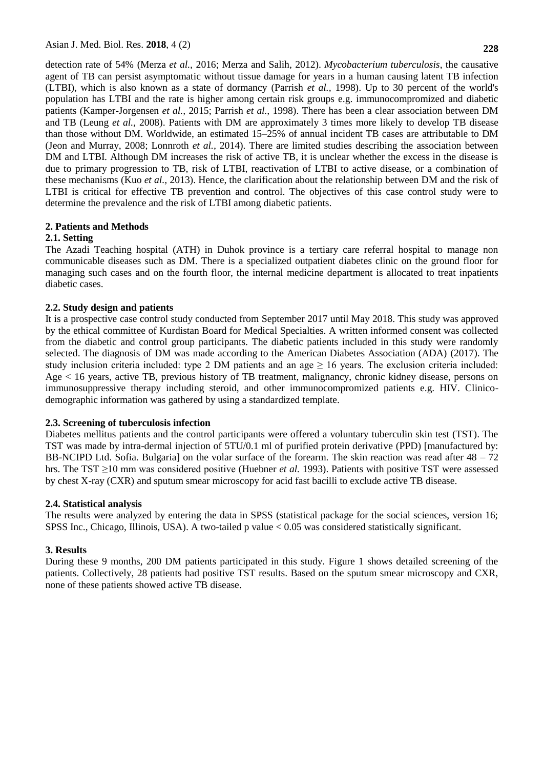detection rate of 54% [\(Merza](#page-4-1) *et al.,* 2016; [Merza and Salih, 2012\)](#page-5-2). *Mycobacterium tuberculosis*, the causative agent of TB can persist asymptomatic without tissue damage for years in a human causing latent TB infection (LTBI), which is also known as a state of dormancy [\(Parrish](#page-5-3) *et al.,* 1998). Up to 30 percent of the world's population has LTBI and the rate is higher among certain risk groups e.g. immunocompromized and diabetic patients [\(Kamper-Jorgensen](#page-4-2) *et al.,* 2015; [Parrish](#page-5-3) *et al.,* 1998). There has been a clear association between DM and TB [\(Leung](#page-4-3) *et al.,* 2008). Patients with DM are approximately 3 times more likely to develop TB disease than those without DM. Worldwide, an estimated 15–25% of annual incident TB cases are attributable to DM [\(Jeon and Murray, 2008;](#page-4-4) [Lonnroth](#page-4-5) *et al.,* 2014). There are limited studies describing the association between DM and LTBI. Although DM increases the risk of active TB, it is unclear whether the excess in the disease is due to primary progression to TB, risk of LTBI, reactivation of LTBI to active disease, or a combination of these mechanisms (Kuo *[et al.,](#page-4-6)* 2013). Hence, the clarification about the relationship between DM and the risk of LTBI is critical for effective TB prevention and control. The objectives of this case control study were to determine the prevalence and the risk of LTBI among diabetic patients.

# **2. Patients and Methods**

# **2.1. Setting**

The Azadi Teaching hospital (ATH) in Duhok province is a tertiary care referral hospital to manage non communicable diseases such as DM. There is a specialized outpatient diabetes clinic on the ground floor for managing such cases and on the fourth floor, the internal medicine department is allocated to treat inpatients diabetic cases.

## **2.2. Study design and patients**

It is a prospective case control study conducted from September 2017 until May 2018. This study was approved by the ethical committee of Kurdistan Board for Medical Specialties. A written informed consent was collected from the diabetic and control group participants. The diabetic patients included in this study were randomly selected. The diagnosis of DM was made according to the American Diabetes Association (ADA) [\(2017\)](#page-4-7). The study inclusion criteria included: type 2 DM patients and an age  $> 16$  years. The exclusion criteria included: Age < 16 years, active TB, previous history of TB treatment, malignancy, chronic kidney disease, persons on immunosuppressive therapy including steroid, and other immunocompromized patients e.g. HIV. Clinicodemographic information was gathered by using a standardized template.

#### **2.3. Screening of tuberculosis infection**

Diabetes mellitus patients and the control participants were offered a voluntary tuberculin skin test (TST). The TST was made by intra-dermal injection of 5TU/0.1 ml of purified protein derivative (PPD) [manufactured by: BB-NCIPD Ltd. Sofia. Bulgaria] on the volar surface of the forearm. The skin reaction was read after  $48 - 72$ hrs. The TST ≥10 mm was considered positive [\(Huebner](#page-4-8) *et al.* 1993). Patients with positive TST were assessed by chest X-ray (CXR) and sputum smear microscopy for acid fast bacilli to exclude active TB disease.

#### **2.4. Statistical analysis**

The results were analyzed by entering the data in SPSS (statistical package for the social sciences, version 16; SPSS Inc., Chicago, Illinois, USA). A two-tailed p value < 0.05 was considered statistically significant.

#### **3. Results**

During these 9 months, 200 DM patients participated in this study. Figure 1 shows detailed screening of the patients. Collectively, 28 patients had positive TST results. Based on the sputum smear microscopy and CXR, none of these patients showed active TB disease.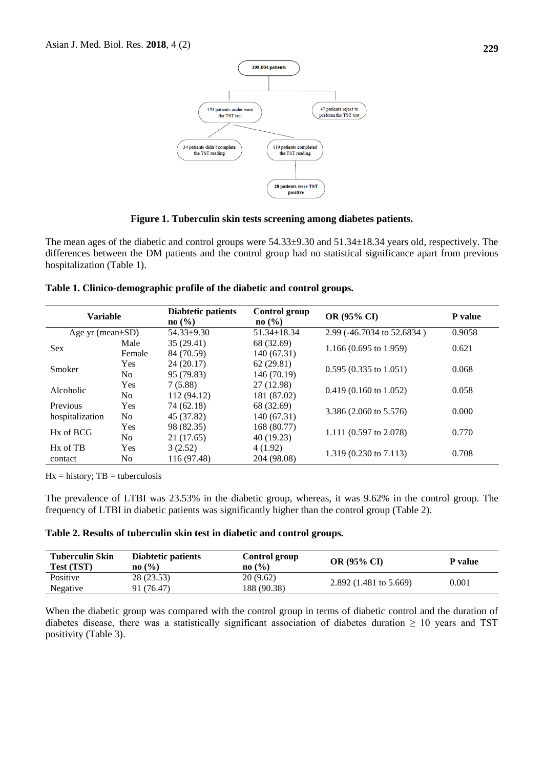

**Figure 1. Tuberculin skin tests screening among diabetes patients.**

The mean ages of the diabetic and control groups were 54.33±9.30 and 51.34±18.34 years old, respectively. The differences between the DM patients and the control group had no statistical significance apart from previous hospitalization (Table 1).

|  | Table 1. Clinico-demographic profile of the diabetic and control groups. |  |  |  |
|--|--------------------------------------------------------------------------|--|--|--|
|  |                                                                          |  |  |  |

| <b>Variable</b>                  |            | <b>Diabtetic patients</b><br>$\mathbf{no}(\% )$ | Control group<br>$\mathbf{no}$ (%) | OR (95% CI)                       | P value |  |
|----------------------------------|------------|-------------------------------------------------|------------------------------------|-----------------------------------|---------|--|
| Age yr (mean $\pm SD$ )          |            | $54.33 \pm 9.30$                                | $51.34 \pm 18.34$                  | 2.99 (-46.7034 to 52.6834)        | 0.9058  |  |
| <b>Sex</b>                       | Male       | 35(29.41)                                       | 68 (32.69)                         |                                   | 0.621   |  |
|                                  | Female     | 84 (70.59)                                      | 140 (67.31)                        | 1.166 $(0.695 \text{ to } 1.959)$ |         |  |
|                                  | <b>Yes</b> | 24(20.17)                                       | 62(29.81)                          | $0.595(0.335 \text{ to } 1.051)$  | 0.068   |  |
| Smoker                           | No.        | 95 (79.83)                                      | 146 (70.19)                        |                                   |         |  |
| Alcoholic                        | <b>Yes</b> | 7(5.88)                                         | 27 (12.98)                         |                                   | 0.058   |  |
|                                  | No.        | 112 (94.12)                                     | 181 (87.02)                        | $0.419(0.160 \text{ to } 1.052)$  |         |  |
| Previous                         | <b>Yes</b> | 74 (62.18)                                      | 68 (32.69)                         |                                   | 0.000   |  |
| hospitalization                  | No.        | 45 (37.82)                                      | 140 (67.31)                        | 3.386 (2.060 to 5.576)            |         |  |
| Hx of BCG                        | <b>Yes</b> | 98 (82.35)                                      | 168 (80.77)                        |                                   | 0.770   |  |
|                                  | No.        | 21 (17.65)                                      | 40 (19.23)                         | 1.111 (0.597 to 2.078)            |         |  |
| H <sub>x</sub> of T <sub>B</sub> | Yes        | 3(2.52)                                         | 4(1.92)                            |                                   | 0.708   |  |
| contact                          | No.        | 116 (97.48)                                     | 204 (98.08)                        | $1.319(0.230 \text{ to } 7.113)$  |         |  |

 $Hx = history$ ; TB = tuberculosis

The prevalence of LTBI was 23.53% in the diabetic group, whereas, it was 9.62% in the control group. The frequency of LTBI in diabetic patients was significantly higher than the control group (Table 2).

# **Table 2. Results of tuberculin skin test in diabetic and control groups.**

| <b>Tuberculin Skin</b><br><b>Test (TST)</b> | Diabtetic patients<br>$\mathbf{no}(\% )$ | Control group<br>$\mathbf{no}$ (%) | <b>OR (95% CI)</b>                | P value |
|---------------------------------------------|------------------------------------------|------------------------------------|-----------------------------------|---------|
| Positive                                    | 28 (23.53)                               | 20 (9.62)                          | 2.892 $(1.481 \text{ to } 5.669)$ | 0.001   |
| Negative                                    | 91 (76.47)                               | 188 (90.38)                        |                                   |         |

When the diabetic group was compared with the control group in terms of diabetic control and the duration of diabetes disease, there was a statistically significant association of diabetes duration  $\geq 10$  years and TST positivity (Table 3).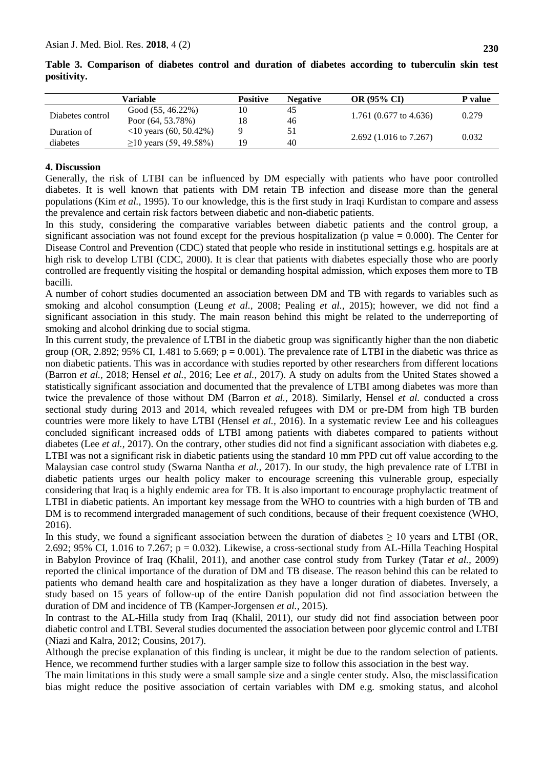|                  | Variable                                    | <b>Positive</b> | <b>Negative</b> | <b>OR (95% CI)</b>                | P value |  |
|------------------|---------------------------------------------|-----------------|-----------------|-----------------------------------|---------|--|
|                  | Good $(55, 46.22\%)$                        | 10              | 45              |                                   | 0.279   |  |
| Diabetes control | Poor $(64, 53.78\%)$                        | 18              | 46              | 1.761 $(0.677 \text{ to } 4.636)$ |         |  |
| Duration of      | $\langle 10 \ \text{years} \ (60, 50.42\%)$ |                 | 51              |                                   |         |  |
| diabetes         | $\geq$ 10 years (59, 49.58%)                | 19              | 40              | $2.692(1.016 \text{ to } 7.267)$  | 0.032   |  |

**Table 3. Comparison of diabetes control and duration of diabetes according to tuberculin skin test positivity.**

## **4. Discussion**

Generally, the risk of LTBI can be influenced by DM especially with patients who have poor controlled diabetes. It is well known that patients with DM retain TB infection and disease more than the general populations (Kim *[et al.,](#page-4-9)* 1995). To our knowledge, this is the first study in Iraqi Kurdistan to compare and assess the prevalence and certain risk factors between diabetic and non-diabetic patients.

In this study, considering the comparative variables between diabetic patients and the control group, a significant association was not found except for the previous hospitalization (p value  $= 0.000$ ). The Center for Disease Control and Prevention (CDC) stated that people who reside in institutional settings e.g. hospitals are at high risk to develop LTBI [\(CDC, 2000\).](#page-4-10) It is clear that patients with diabetes especially those who are poorly controlled are frequently visiting the hospital or demanding hospital admission, which exposes them more to TB bacilli.

A number of cohort studies documented an association between DM and TB with regards to variables such as smoking and alcohol consumption [\(Leung](#page-4-3) *et al.,* 2008; [Pealing](#page-5-4) *et al.,* 2015); however, we did not find a significant association in this study. The main reason behind this might be related to the underreporting of smoking and alcohol drinking due to social stigma.

In this current study, the prevalence of LTBI in the diabetic group was significantly higher than the non diabetic group (OR, 2.892; 95% CI, 1.481 to 5.669;  $p = 0.001$ ). The prevalence rate of LTBI in the diabetic was thrice as non diabetic patients. This was in accordance with studies reported by other researchers from different locations [\(Barron](#page-4-11) *et al.,* 2018; [Hensel](#page-4-12) *et al.,* 2016; Lee *[et al.,](#page-4-13)* 2017). A study on adults from the United States showed a statistically significant association and documented that the prevalence of LTBI among diabetes was more than twice the prevalence of those without DM [\(Barron](#page-4-11) *et al.,* 2018). Similarly, Hensel *et al.* conducted a cross sectional study during 2013 and 2014, which revealed refugees with DM or pre-DM from high TB burden countries were more likely to have LTBI [\(Hensel](#page-4-12) *et al.,* 2016). In a systematic review Lee and his colleagues concluded significant increased odds of LTBI among patients with diabetes compared to patients without diabetes (Lee *et al.,* 2017). On the contrary, other studies did not find a significant association with diabetes e.g. LTBI was not a significant risk in diabetic patients using the standard 10 mm PPD cut off value according to the Malaysian case control study [\(Swarna Nantha](#page-5-5) *et al.,* 2017). In our study, the high prevalence rate of LTBI in diabetic patients urges our health policy maker to encourage screening this vulnerable group, especially considering that Iraq is a highly endemic area for TB. It is also important to encourage prophylactic treatment of LTBI in diabetic patients. An important key message from the WHO to countries with a high burden of TB and DM is to recommend intergraded management of such conditions, because of their frequent coexistence [\(WHO,](#page-5-0)  [2016\)](#page-5-0).

In this study, we found a significant association between the duration of diabetes  $\geq 10$  years and LTBI (OR, 2.692; 95% CI, 1.016 to 7.267;  $p = 0.032$ ). Likewise, a cross-sectional study from AL-Hilla Teaching Hospital in Babylon Province of Iraq (Khalil, 2011), and another case control study from Turkey [\(Tatar](#page-5-6) *et al.,* 2009) reported the clinical importance of the duration of DM and TB disease. The reason behind this can be related to patients who demand health care and hospitalization as they have a longer duration of diabetes. Inversely, a study based on 15 years of follow-up of the entire Danish population did not find association between the duration of DM and incidence of TB [\(Kamper-Jorgensen](#page-4-2) *et al.,* 2015).

In contrast to the AL-Hilla study from Iraq (Khalil, 2011), our study did not find association between poor diabetic control and LTBI. Several studies documented the association between poor glycemic control and LTBI [\(Niazi and Kalra, 2012;](#page-5-7) Cousins, 2017).

Although the precise explanation of this finding is unclear, it might be due to the random selection of patients. Hence, we recommend further studies with a larger sample size to follow this association in the best way.

The main limitations in this study were a small sample size and a single center study. Also, the misclassification bias might reduce the positive association of certain variables with DM e.g. smoking status, and alcohol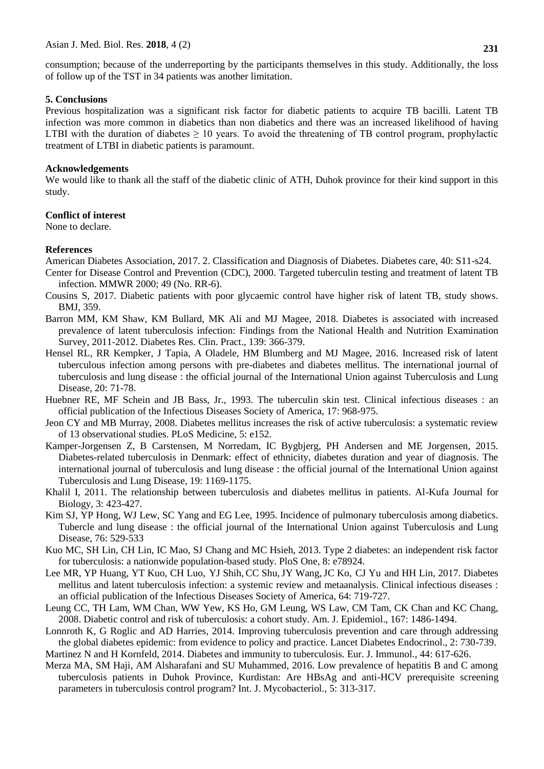consumption; because of the underreporting by the participants themselves in this study. Additionally, the loss of follow up of the TST in 34 patients was another limitation.

#### **5. Conclusions**

Previous hospitalization was a significant risk factor for diabetic patients to acquire TB bacilli. Latent TB infection was more common in diabetics than non diabetics and there was an increased likelihood of having LTBI with the duration of diabetes  $\geq 10$  years. To avoid the threatening of TB control program, prophylactic treatment of LTBI in diabetic patients is paramount.

## **Acknowledgements**

We would like to thank all the staff of the diabetic clinic of ATH, Duhok province for their kind support in this study.

## **Conflict of interest**

None to declare.

## **References**

<span id="page-4-10"></span><span id="page-4-7"></span>American Diabetes Association, 2017. 2. Classification and Diagnosis of Diabetes. Diabetes care, 40: S11-s24.

- Center for Disease Control and Prevention (CDC), 2000. Targeted tuberculin testing and treatment of latent TB infection. MMWR 2000; 49 (No. RR-6).
- Cousins S, 2017. Diabetic patients with poor glycaemic control have higher risk of latent TB, study shows. BMJ, 359.
- <span id="page-4-11"></span>Barron MM, KM Shaw, KM Bullard, MK Ali and MJ Magee, 2018. Diabetes is associated with increased prevalence of latent tuberculosis infection: Findings from the National Health and Nutrition Examination Survey, 2011-2012. Diabetes Res. Clin. Pract., 139: 366-379.
- <span id="page-4-12"></span>Hensel RL, RR Kempker, J Tapia, A Oladele, HM Blumberg and MJ Magee, 2016. Increased risk of latent tuberculous infection among persons with pre-diabetes and diabetes mellitus. The international journal of tuberculosis and lung disease : the official journal of the International Union against Tuberculosis and Lung Disease, 20: 71-78.
- <span id="page-4-8"></span>Huebner RE, MF Schein and JB Bass, Jr., 1993. The tuberculin skin test. Clinical infectious diseases : an official publication of the Infectious Diseases Society of America, 17: 968-975.
- <span id="page-4-4"></span><span id="page-4-2"></span>Jeon CY and MB Murray, 2008. Diabetes mellitus increases the risk of active tuberculosis: a systematic review of 13 observational studies. PLoS Medicine, 5: e152.
- Kamper-Jorgensen Z, B Carstensen, M Norredam, IC Bygbjerg, PH Andersen and ME Jorgensen, 2015. Diabetes-related tuberculosis in Denmark: effect of ethnicity, diabetes duration and year of diagnosis. The international journal of tuberculosis and lung disease : the official journal of the International Union against Tuberculosis and Lung Disease, 19: 1169-1175.
- Khalil I, 2011. The relationship between tuberculosis and diabetes mellitus in patients. Al-Kufa Journal for Biology, 3: 423-427.
- <span id="page-4-9"></span>Kim SJ, YP Hong, WJ Lew, SC Yang and EG Lee, 1995. Incidence of pulmonary tuberculosis among diabetics. Tubercle and lung disease : the official journal of the International Union against Tuberculosis and Lung Disease, 76: 529-533
- <span id="page-4-6"></span>Kuo MC, SH Lin, CH Lin, IC Mao, SJ Chang and MC Hsieh, 2013. Type 2 diabetes: an independent risk factor for tuberculosis: a nationwide population-based study. PloS One, 8: e78924.
- <span id="page-4-13"></span>Lee MR, YP Huang, YT Kuo, [CH Luo,](https://www.ncbi.nlm.nih.gov/pubmed/?term=Luo%20CH%5BAuthor%5D&cauthor=true&cauthor_uid=27986673) [YJ Shih,](https://www.ncbi.nlm.nih.gov/pubmed/?term=Shih%20YJ%5BAuthor%5D&cauthor=true&cauthor_uid=27986673) [CC Shu,](https://www.ncbi.nlm.nih.gov/pubmed/?term=Shu%20CC%5BAuthor%5D&cauthor=true&cauthor_uid=27986673)[JY Wang,](https://www.ncbi.nlm.nih.gov/pubmed/?term=Wang%20JY%5BAuthor%5D&cauthor=true&cauthor_uid=27986673)[JC Ko,](https://www.ncbi.nlm.nih.gov/pubmed/?term=Ko%20JC%5BAuthor%5D&cauthor=true&cauthor_uid=27986673) [CJ Yu](https://www.ncbi.nlm.nih.gov/pubmed/?term=Yu%20CJ%5BAuthor%5D&cauthor=true&cauthor_uid=27986673) and [HH Lin,](https://www.ncbi.nlm.nih.gov/pubmed/?term=Lin%20HH%5BAuthor%5D&cauthor=true&cauthor_uid=27986673) 2017. Diabetes mellitus and latent tuberculosis infection: a systemic review and metaanalysis. Clinical infectious diseases : an official publication of the Infectious Diseases Society of America, 64: 719-727.
- <span id="page-4-3"></span>Leung CC, TH Lam, WM Chan, WW Yew, KS Ho, GM Leung, WS Law, CM Tam, CK Chan and KC Chang, 2008. Diabetic control and risk of tuberculosis: a cohort study. Am. J. Epidemiol., 167: 1486-1494.
- <span id="page-4-5"></span>Lonnroth K, G Roglic and AD Harries, 2014. Improving tuberculosis prevention and care through addressing the global diabetes epidemic: from evidence to policy and practice. Lancet Diabetes Endocrinol., 2: 730-739.
- <span id="page-4-0"></span>Martinez N and H Kornfeld, 2014. Diabetes and immunity to tuberculosis. Eur. J. Immunol., 44: 617-626.
- <span id="page-4-1"></span>Merza MA, SM Haji, AM Alsharafani and SU Muhammed, 2016. Low prevalence of hepatitis B and C among tuberculosis patients in Duhok Province, Kurdistan: Are HBsAg and anti-HCV prerequisite screening parameters in tuberculosis control program? Int. J. Mycobacteriol., 5: 313-317.